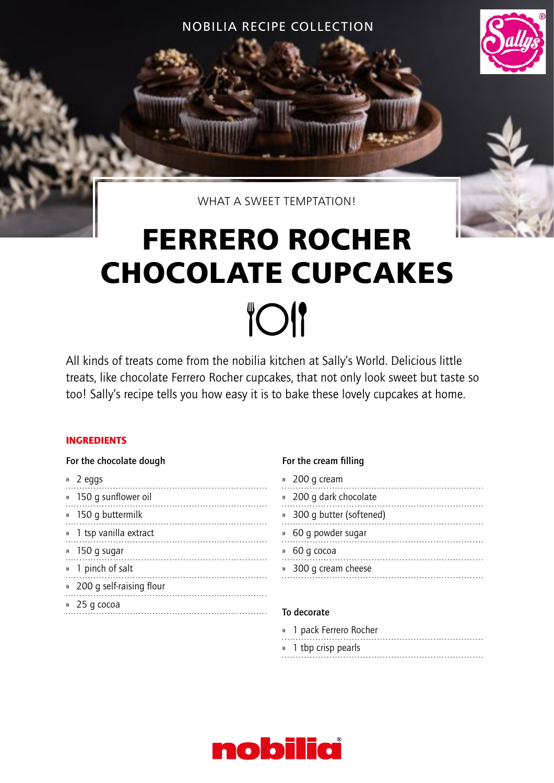NOBILIA RECIPE COLLECTION



WHAT A SWEET TEMPTATION!

# **FERRERO ROCHER CHOCOLATE CUPCAKES TOI**

All kinds of treats come from the nobilia kitchen at Sally's World. Delicious little treats, like chocolate Ferrero Rocher cupcakes, that not only look sweet but taste so too! Sally's recipe tells you how easy it is to bake these lovely cupcakes at home.

## INGREDIENTS

### For the chocolate dough

» 2 eggs » 150 g sunflower oil » 150 g buttermilk » 1 tsp vanilla extract » 150 g sugar » 1 pinch of salt » 200 g self-raising flour » 25 g cocoa 

## For the cream filling

|    | » 200 g cream             |
|----|---------------------------|
|    | 200 g dark chocolate      |
|    | » 300 q butter (softened) |
| )) | 60 g powder sugar         |
|    | 60 g cocoa                |
|    | » 300 q cream cheese      |
|    |                           |

## To decorate

|  | » 1 pack Ferrero Rocher |
|--|-------------------------|
|  | » 1 tbp crisp pearls    |